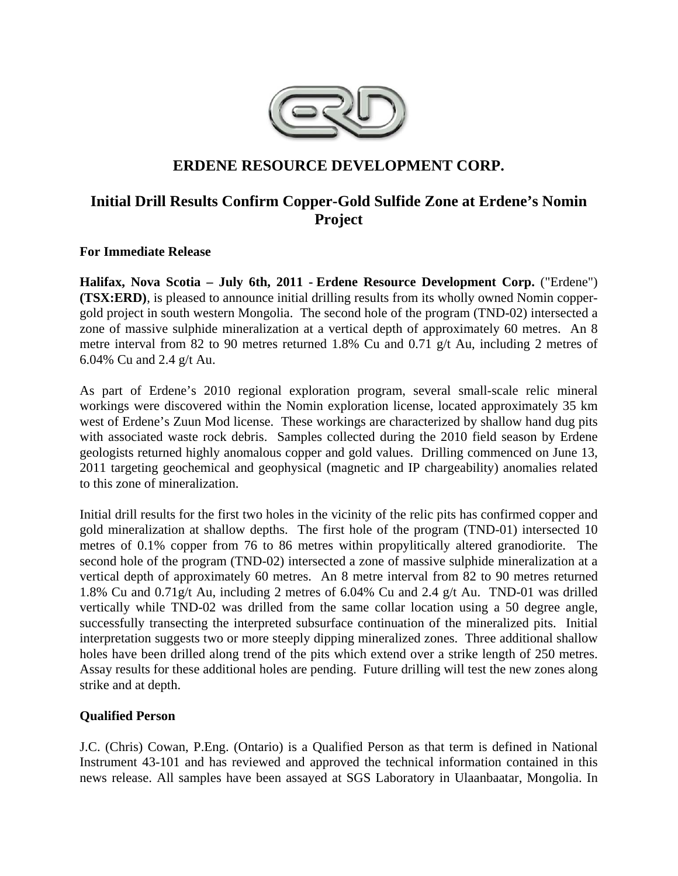

# **ERDENE RESOURCE DEVELOPMENT CORP.**

# **Initial Drill Results Confirm Copper-Gold Sulfide Zone at Erdene's Nomin Project**

**For Immediate Release** 

**Halifax, Nova Scotia – July 6th, 2011 - Erdene Resource Development Corp.** ("Erdene") **(TSX:ERD)**, is pleased to announce initial drilling results from its wholly owned Nomin coppergold project in south western Mongolia. The second hole of the program (TND-02) intersected a zone of massive sulphide mineralization at a vertical depth of approximately 60 metres. An 8 metre interval from 82 to 90 metres returned 1.8% Cu and 0.71 g/t Au, including 2 metres of 6.04% Cu and 2.4 g/t Au.

As part of Erdene's 2010 regional exploration program, several small-scale relic mineral workings were discovered within the Nomin exploration license, located approximately 35 km west of Erdene's Zuun Mod license. These workings are characterized by shallow hand dug pits with associated waste rock debris. Samples collected during the 2010 field season by Erdene geologists returned highly anomalous copper and gold values. Drilling commenced on June 13, 2011 targeting geochemical and geophysical (magnetic and IP chargeability) anomalies related to this zone of mineralization.

Initial drill results for the first two holes in the vicinity of the relic pits has confirmed copper and gold mineralization at shallow depths. The first hole of the program (TND-01) intersected 10 metres of 0.1% copper from 76 to 86 metres within propylitically altered granodiorite. The second hole of the program (TND-02) intersected a zone of massive sulphide mineralization at a vertical depth of approximately 60 metres. An 8 metre interval from 82 to 90 metres returned 1.8% Cu and 0.71g/t Au, including 2 metres of 6.04% Cu and 2.4 g/t Au. TND-01 was drilled vertically while TND-02 was drilled from the same collar location using a 50 degree angle, successfully transecting the interpreted subsurface continuation of the mineralized pits. Initial interpretation suggests two or more steeply dipping mineralized zones. Three additional shallow holes have been drilled along trend of the pits which extend over a strike length of 250 metres. Assay results for these additional holes are pending. Future drilling will test the new zones along strike and at depth.

# **Qualified Person**

J.C. (Chris) Cowan, P.Eng. (Ontario) is a Qualified Person as that term is defined in National Instrument 43-101 and has reviewed and approved the technical information contained in this news release. All samples have been assayed at SGS Laboratory in Ulaanbaatar, Mongolia. In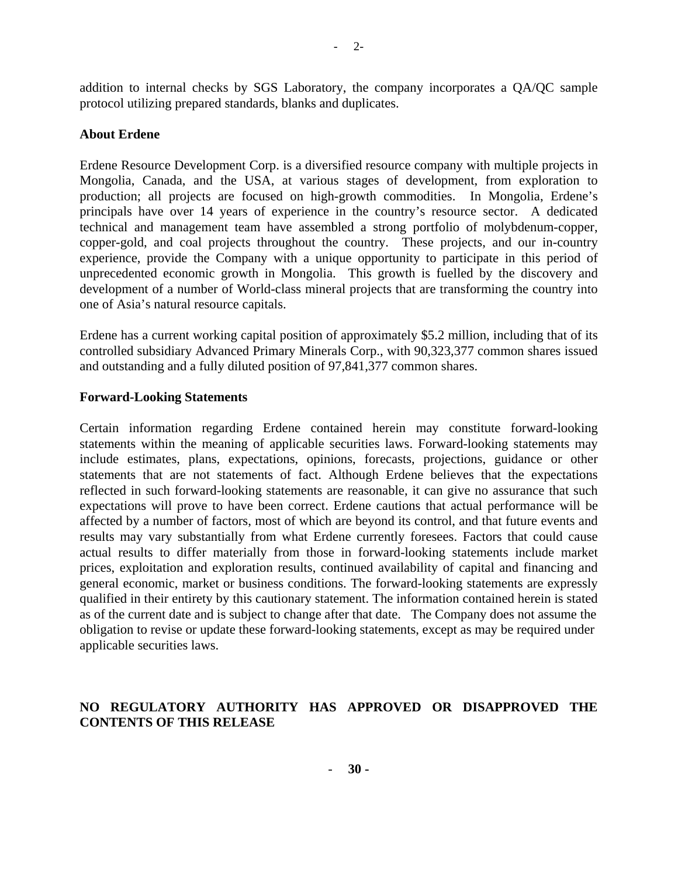addition to internal checks by SGS Laboratory, the company incorporates a QA/QC sample protocol utilizing prepared standards, blanks and duplicates.

#### **About Erdene**

Erdene Resource Development Corp. is a diversified resource company with multiple projects in Mongolia, Canada, and the USA, at various stages of development, from exploration to production; all projects are focused on high-growth commodities. In Mongolia, Erdene's principals have over 14 years of experience in the country's resource sector. A dedicated technical and management team have assembled a strong portfolio of molybdenum-copper, copper-gold, and coal projects throughout the country. These projects, and our in-country experience, provide the Company with a unique opportunity to participate in this period of unprecedented economic growth in Mongolia. This growth is fuelled by the discovery and development of a number of World-class mineral projects that are transforming the country into one of Asia's natural resource capitals.

Erdene has a current working capital position of approximately \$5.2 million, including that of its controlled subsidiary Advanced Primary Minerals Corp., with 90,323,377 common shares issued and outstanding and a fully diluted position of 97,841,377 common shares.

#### **Forward-Looking Statements**

Certain information regarding Erdene contained herein may constitute forward-looking statements within the meaning of applicable securities laws. Forward-looking statements may include estimates, plans, expectations, opinions, forecasts, projections, guidance or other statements that are not statements of fact. Although Erdene believes that the expectations reflected in such forward-looking statements are reasonable, it can give no assurance that such expectations will prove to have been correct. Erdene cautions that actual performance will be affected by a number of factors, most of which are beyond its control, and that future events and results may vary substantially from what Erdene currently foresees. Factors that could cause actual results to differ materially from those in forward-looking statements include market prices, exploitation and exploration results, continued availability of capital and financing and general economic, market or business conditions. The forward-looking statements are expressly qualified in their entirety by this cautionary statement. The information contained herein is stated as of the current date and is subject to change after that date. The Company does not assume the obligation to revise or update these forward-looking statements, except as may be required under applicable securities laws.

# **NO REGULATORY AUTHORITY HAS APPROVED OR DISAPPROVED THE CONTENTS OF THIS RELEASE**